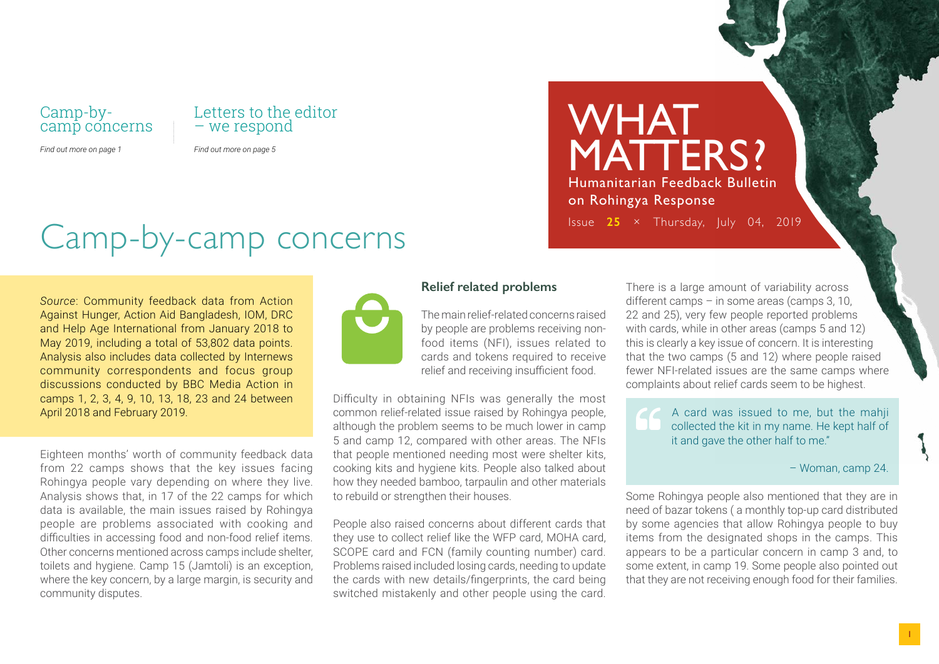### Camp-bycamp concerns

#### *Find out more on page 1*

## Letters to the editor – we respond

*Find out more on page 5*

# Camp-by-camp concerns

*Source*: Community feedback data from Action Against Hunger, Action Aid Bangladesh, IOM, DRC and Help Age International from January 2018 to May 2019, including a total of 53,802 data points. Analysis also includes data collected by Internews community correspondents and focus group discussions conducted by BBC Media Action in camps 1, 2, 3, 4, 9, 10, 13, 18, 23 and 24 between April 2018 and February 2019.

Eighteen months' worth of community feedback data from 22 camps shows that the key issues facing Rohingya people vary depending on where they live. Analysis shows that, in 17 of the 22 camps for which data is available, the main issues raised by Rohingya people are problems associated with cooking and difficulties in accessing food and non-food relief items. Other concerns mentioned across camps include shelter, toilets and hygiene. Camp 15 (Jamtoli) is an exception, where the key concern, by a large margin, is security and community disputes.



### **Relief related problems**

The main relief-related concerns raised by people are problems receiving nonfood items (NFI), issues related to cards and tokens required to receive relief and receiving insufficient food.

Difficulty in obtaining NFIs was generally the most common relief-related issue raised by Rohingya people, although the problem seems to be much lower in camp 5 and camp 12, compared with other areas. The NFIs that people mentioned needing most were shelter kits, cooking kits and hygiene kits. People also talked about how they needed bamboo, tarpaulin and other materials to rebuild or strengthen their houses.

People also raised concerns about different cards that they use to collect relief like the WFP card, MOHA card, SCOPE card and FCN (family counting number) card. Problems raised included losing cards, needing to update the cards with new details/fingerprints, the card being switched mistakenly and other people using the card.

WHAT MATTERS? Humanitarian Feedback Bulletin on Rohingya Response Issue **25** × Thursday, July 04, 2019

> There is a large amount of variability across different camps – in some areas (camps 3, 10, 22 and 25), very few people reported problems with cards, while in other areas (camps 5 and 12) this is clearly a key issue of concern. It is interesting that the two camps (5 and 12) where people raised fewer NFI-related issues are the same camps where complaints about relief cards seem to be highest.

A card was issued to me, but the mahji collected the kit in my name. He kept half of it and gave the other half to me."

#### – Woman, camp 24.

Some Rohingya people also mentioned that they are in need of bazar tokens ( a monthly top-up card distributed by some agencies that allow Rohingya people to buy items from the designated shops in the camps. This appears to be a particular concern in camp 3 and, to some extent, in camp 19. Some people also pointed out that they are not receiving enough food for their families.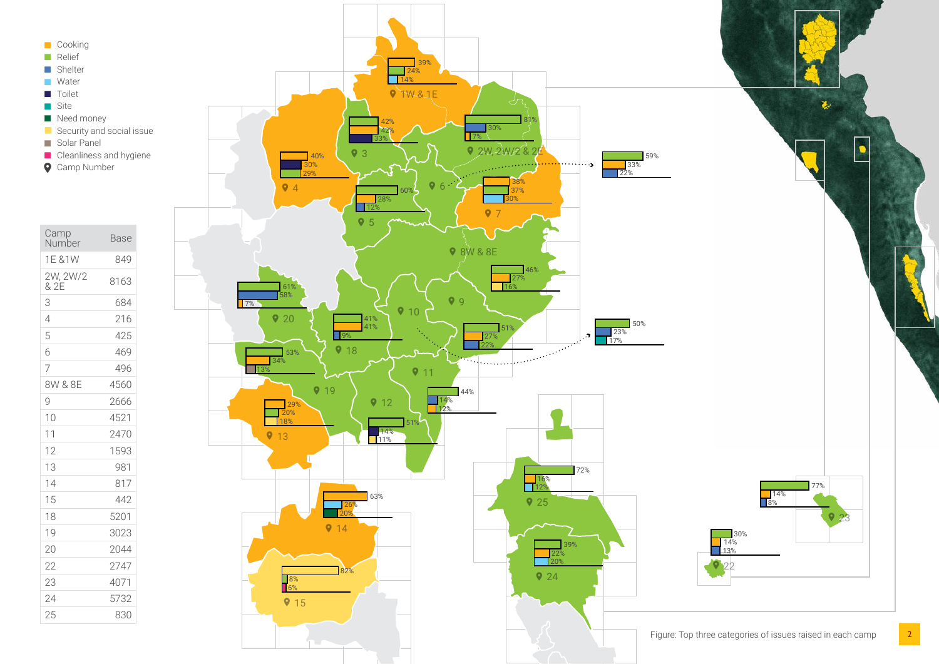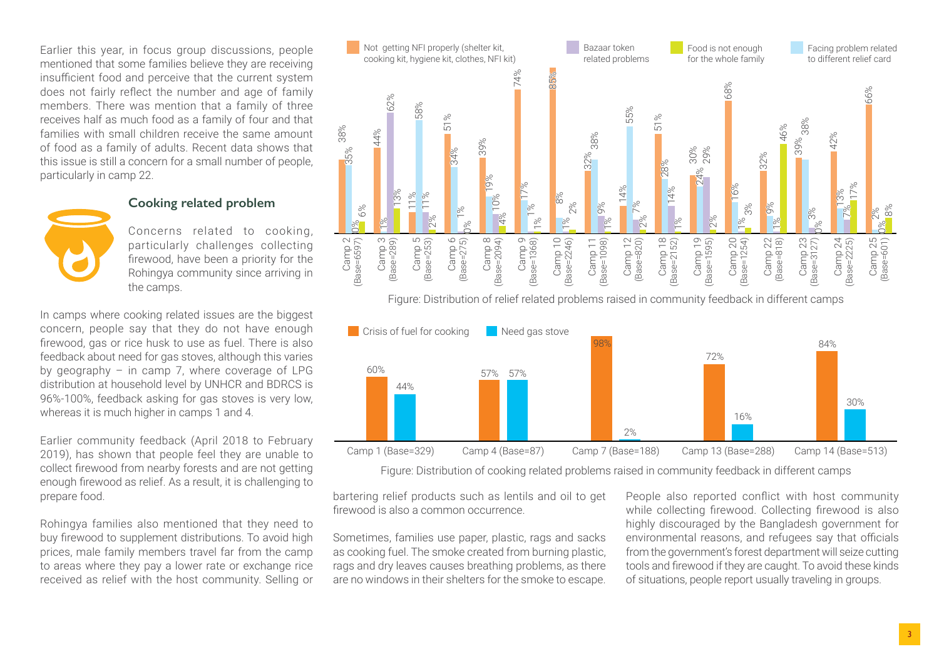Earlier this year, in focus group discussions, people mentioned that some families believe they are receiving insufficient food and perceive that the current system does not fairly reflect the number and age of family members. There was mention that a family of three receives half as much food as a family of four and that families with small children receive the same amount of food as a family of adults. Recent data shows that this issue is still a concern for a small number of people, particularly in camp 22.

#### **Cooking related problem**



Concerns related to cooking, particularly challenges collecting firewood, have been a priority for the Rohingya community since arriving in the camps.

In camps where cooking related issues are the biggest concern, people say that they do not have enough firewood, gas or rice husk to use as fuel. There is also feedback about need for gas stoves, although this varies by geography  $-$  in camp 7, where coverage of LPG distribution at household level by UNHCR and BDRCS is 96%-100%, feedback asking for gas stoves is very low, whereas it is much higher in camps 1 and 4.

Earlier community feedback (April 2018 to February 2019), has shown that people feel they are unable to collect firewood from nearby forests and are not getting enough firewood as relief. As a result, it is challenging to prepare food.

Rohingya families also mentioned that they need to buy firewood to supplement distributions. To avoid high prices, male family members travel far from the camp to areas where they pay a lower rate or exchange rice received as relief with the host community. Selling or



Figure: Distribution of relief related problems raised in community feedback in different camps



Figure: Distribution of cooking related problems raised in community feedback in different camps

bartering relief products such as lentils and oil to get firewood is also a common occurrence.

Sometimes, families use paper, plastic, rags and sacks as cooking fuel. The smoke created from burning plastic, rags and dry leaves causes breathing problems, as there are no windows in their shelters for the smoke to escape.

People also reported conflict with host community while collecting firewood. Collecting firewood is also highly discouraged by the Bangladesh government for environmental reasons, and refugees say that officials from the government's forest department will seize cutting tools and firewood if they are caught. To avoid these kinds of situations, people report usually traveling in groups.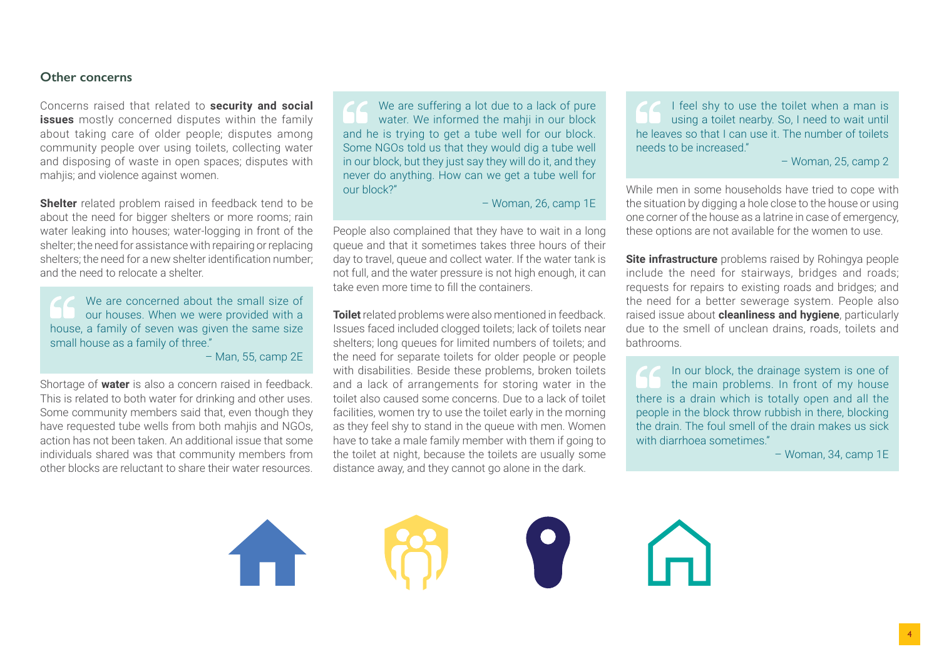#### **Other concerns**

Concerns raised that related to **security and social issues** mostly concerned disputes within the family about taking care of older people; disputes among community people over using toilets, collecting water and disposing of waste in open spaces; disputes with mahjis; and violence against women.

**Shelter** related problem raised in feedback tend to be about the need for bigger shelters or more rooms; rain water leaking into houses; water-logging in front of the shelter; the need for assistance with repairing or replacing shelters; the need for a new shelter identification number; and the need to relocate a shelter.

We are concerned about the small size of our houses. When we were provided with a house, a family of seven was given the same size small house as a family of three."

– Man, 55, camp 2E

Shortage of **water** is also a concern raised in feedback. This is related to both water for drinking and other uses. Some community members said that, even though they have requested tube wells from both mahjis and NGOs, action has not been taken. An additional issue that some individuals shared was that community members from other blocks are reluctant to share their water resources.

We are suffering a lot due to a lack of pure water. We informed the mahji in our block and he is trying to get a tube well for our block. Some NGOs told us that they would dig a tube well in our block, but they just say they will do it, and they never do anything. How can we get a tube well for our block?"

– Woman, 26, camp 1E

People also complained that they have to wait in a long queue and that it sometimes takes three hours of their day to travel, queue and collect water. If the water tank is not full, and the water pressure is not high enough, it can take even more time to fill the containers.

**Toilet** related problems were also mentioned in feedback. Issues faced included clogged toilets; lack of toilets near shelters; long queues for limited numbers of toilets; and the need for separate toilets for older people or people with disabilities. Beside these problems, broken toilets and a lack of arrangements for storing water in the toilet also caused some concerns. Due to a lack of toilet facilities, women try to use the toilet early in the morning as they feel shy to stand in the queue with men. Women have to take a male family member with them if going to the toilet at night, because the toilets are usually some distance away, and they cannot go alone in the dark.

I feel shy to use the toilet when a man is using a toilet nearby. So, I need to wait until he leaves so that I can use it. The number of toilets needs to be increased."

– Woman, 25, camp 2

While men in some households have tried to cope with the situation by digging a hole close to the house or using one corner of the house as a latrine in case of emergency, these options are not available for the women to use.

**Site infrastructure** problems raised by Rohingya people include the need for stairways, bridges and roads; requests for repairs to existing roads and bridges; and the need for a better sewerage system. People also raised issue about **cleanliness and hygiene**, particularly due to the smell of unclean drains, roads, toilets and bathrooms.

In our block, the drainage system is one of the main problems. In front of my house there is a drain which is totally open and all the people in the block throw rubbish in there, blocking the drain. The foul smell of the drain makes us sick with diarrhoea sometimes."

– Woman, 34, camp 1E